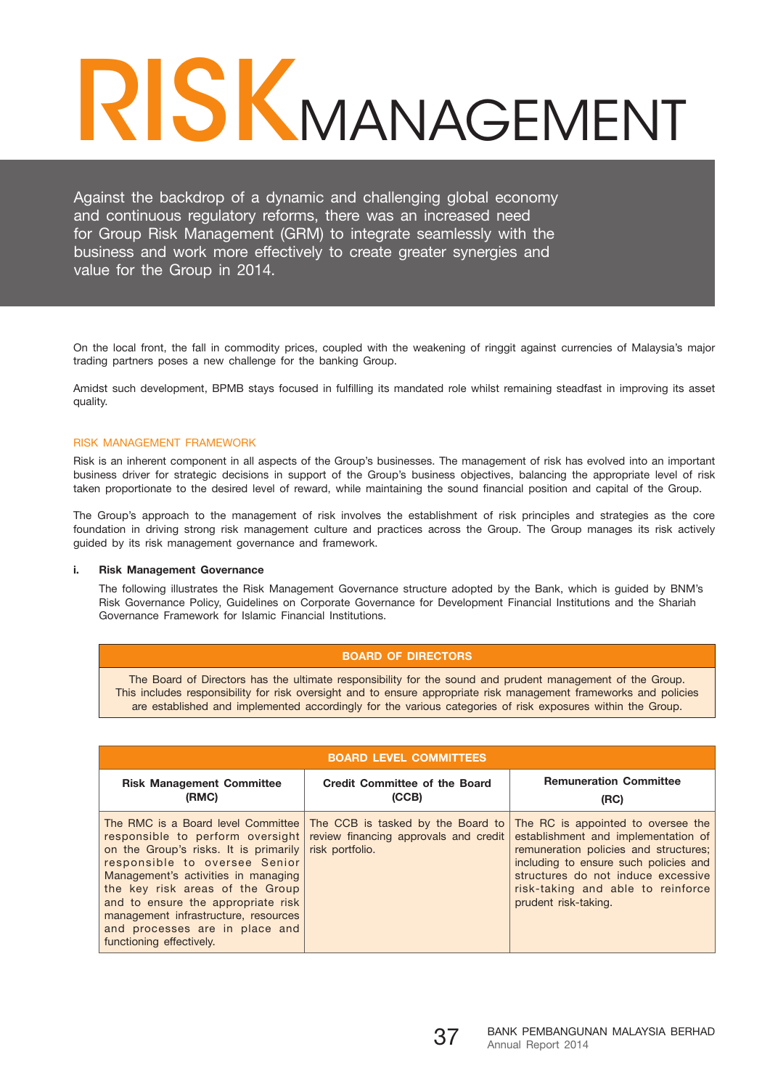# RISKMANAGEMENT

Against the backdrop of a dynamic and challenging global economy and continuous regulatory reforms, there was an increased need for Group Risk Management (GRM) to integrate seamlessly with the business and work more effectively to create greater synergies and value for the Group in 2014.

On the local front, the fall in commodity prices, coupled with the weakening of ringgit against currencies of Malaysia's major trading partners poses a new challenge for the banking Group.

Amidst such development, BPMB stays focused in fulfilling its mandated role whilst remaining steadfast in improving its asset quality.

## RISK MANAGEMENT FRAMEWORK

Risk is an inherent component in all aspects of the Group's businesses. The management of risk has evolved into an important business driver for strategic decisions in support of the Group's business objectives, balancing the appropriate level of risk taken proportionate to the desired level of reward, while maintaining the sound financial position and capital of the Group.

The Group's approach to the management of risk involves the establishment of risk principles and strategies as the core foundation in driving strong risk management culture and practices across the Group. The Group manages its risk actively guided by its risk management governance and framework.

#### **i. Risk Management Governance**

The following illustrates the Risk Management Governance structure adopted by the Bank, which is guided by BNM's Risk Governance Policy, Guidelines on Corporate Governance for Development Financial Institutions and the Shariah Governance Framework for Islamic Financial Institutions.

## **Board of Directors**

The Board of Directors has the ultimate responsibility for the sound and prudent management of the Group. This includes responsibility for risk oversight and to ensure appropriate risk management frameworks and policies are established and implemented accordingly for the various categories of risk exposures within the Group.

| <b>BOARD LEVEL COMMITTEES</b>                                                                                                                                                                                                                                                                                                                                          |                                                                                               |                                                                                                                                                                                                                                                                |  |
|------------------------------------------------------------------------------------------------------------------------------------------------------------------------------------------------------------------------------------------------------------------------------------------------------------------------------------------------------------------------|-----------------------------------------------------------------------------------------------|----------------------------------------------------------------------------------------------------------------------------------------------------------------------------------------------------------------------------------------------------------------|--|
| <b>Risk Management Committee</b><br>(RMC)                                                                                                                                                                                                                                                                                                                              | <b>Credit Committee of the Board</b><br>(CCB)                                                 | <b>Remuneration Committee</b><br>(RC)                                                                                                                                                                                                                          |  |
| The RMC is a Board level Committee<br>responsible to perform oversight<br>on the Group's risks. It is primarily<br>responsible to oversee Senior<br>Management's activities in managing<br>the key risk areas of the Group<br>and to ensure the appropriate risk<br>management infrastructure, resources<br>and processes are in place and<br>functioning effectively. | The CCB is tasked by the Board to<br>review financing approvals and credit<br>risk portfolio. | The RC is appointed to oversee the<br>establishment and implementation of<br>remuneration policies and structures;<br>including to ensure such policies and<br>structures do not induce excessive<br>risk-taking and able to reinforce<br>prudent risk-taking. |  |

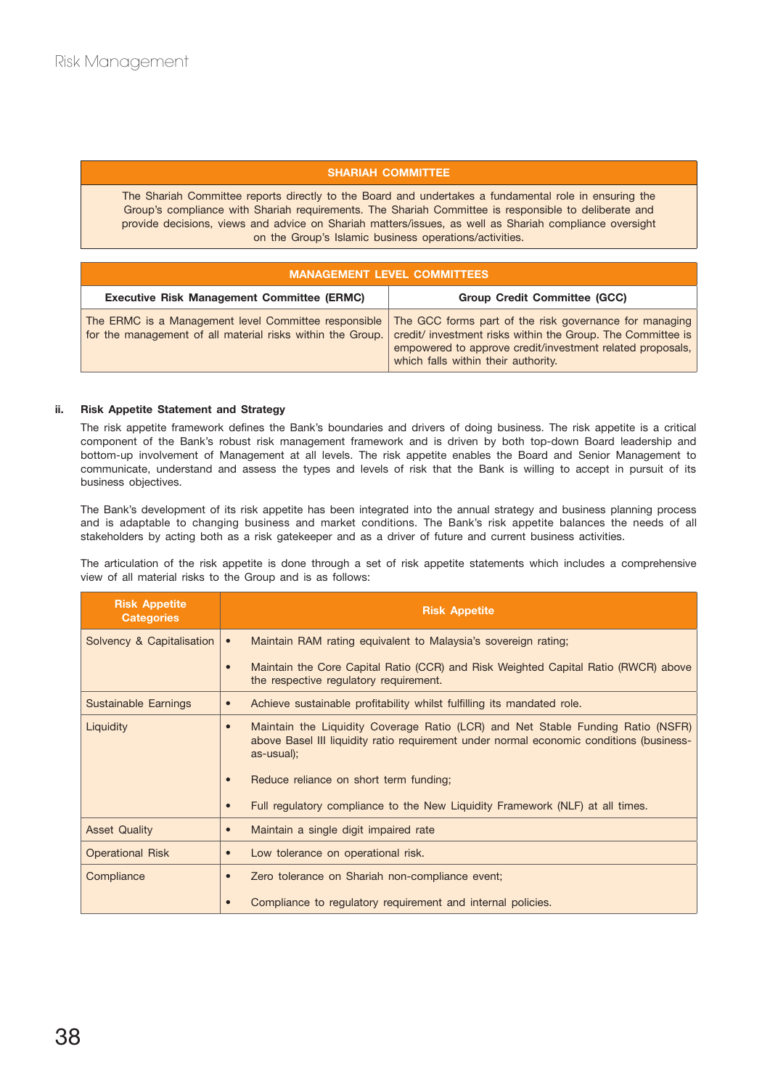# **Shariah Committee**

The Shariah Committee reports directly to the Board and undertakes a fundamental role in ensuring the Group's compliance with Shariah requirements. The Shariah Committee is responsible to deliberate and provide decisions, views and advice on Shariah matters/issues, as well as Shariah compliance oversight on the Group's Islamic business operations/activities.

| <b>MANAGEMENT LEVEL COMMITTEES</b>                                                                                 |                                                                                                                                                                                                                           |  |
|--------------------------------------------------------------------------------------------------------------------|---------------------------------------------------------------------------------------------------------------------------------------------------------------------------------------------------------------------------|--|
| <b>Executive Risk Management Committee (ERMC)</b>                                                                  | <b>Group Credit Committee (GCC)</b>                                                                                                                                                                                       |  |
| The ERMC is a Management level Committee responsible<br>for the management of all material risks within the Group. | The GCC forms part of the risk governance for managing<br>credit/ investment risks within the Group. The Committee is<br>empowered to approve credit/investment related proposals,<br>which falls within their authority. |  |

## **ii. Risk Appetite Statement and Strategy**

The risk appetite framework defines the Bank's boundaries and drivers of doing business. The risk appetite is a critical component of the Bank's robust risk management framework and is driven by both top-down Board leadership and bottom-up involvement of Management at all levels. The risk appetite enables the Board and Senior Management to communicate, understand and assess the types and levels of risk that the Bank is willing to accept in pursuit of its business objectives.

The Bank's development of its risk appetite has been integrated into the annual strategy and business planning process and is adaptable to changing business and market conditions. The Bank's risk appetite balances the needs of all stakeholders by acting both as a risk gatekeeper and as a driver of future and current business activities.

The articulation of the risk appetite is done through a set of risk appetite statements which includes a comprehensive view of all material risks to the Group and is as follows:

| <b>Risk Appetite</b><br><b>Categories</b> | <b>Risk Appetite</b>                                                                                                                                                                                  |
|-------------------------------------------|-------------------------------------------------------------------------------------------------------------------------------------------------------------------------------------------------------|
| Solvency & Capitalisation                 | Maintain RAM rating equivalent to Malaysia's sovereign rating;<br>$\bullet$                                                                                                                           |
|                                           | Maintain the Core Capital Ratio (CCR) and Risk Weighted Capital Ratio (RWCR) above<br>$\bullet$<br>the respective regulatory requirement.                                                             |
| Sustainable Earnings                      | Achieve sustainable profitability whilst fulfilling its mandated role.<br>$\bullet$                                                                                                                   |
| Liquidity                                 | Maintain the Liquidity Coverage Ratio (LCR) and Net Stable Funding Ratio (NSFR)<br>$\bullet$<br>above Basel III liquidity ratio requirement under normal economic conditions (business-<br>as-usual); |
|                                           | Reduce reliance on short term funding;<br>$\bullet$                                                                                                                                                   |
|                                           | Full regulatory compliance to the New Liquidity Framework (NLF) at all times.<br>$\bullet$                                                                                                            |
| <b>Asset Quality</b>                      | Maintain a single digit impaired rate<br>$\bullet$                                                                                                                                                    |
| <b>Operational Risk</b>                   | Low tolerance on operational risk.<br>$\bullet$                                                                                                                                                       |
| Compliance                                | Zero tolerance on Shariah non-compliance event;<br>$\bullet$                                                                                                                                          |
|                                           | Compliance to regulatory requirement and internal policies.                                                                                                                                           |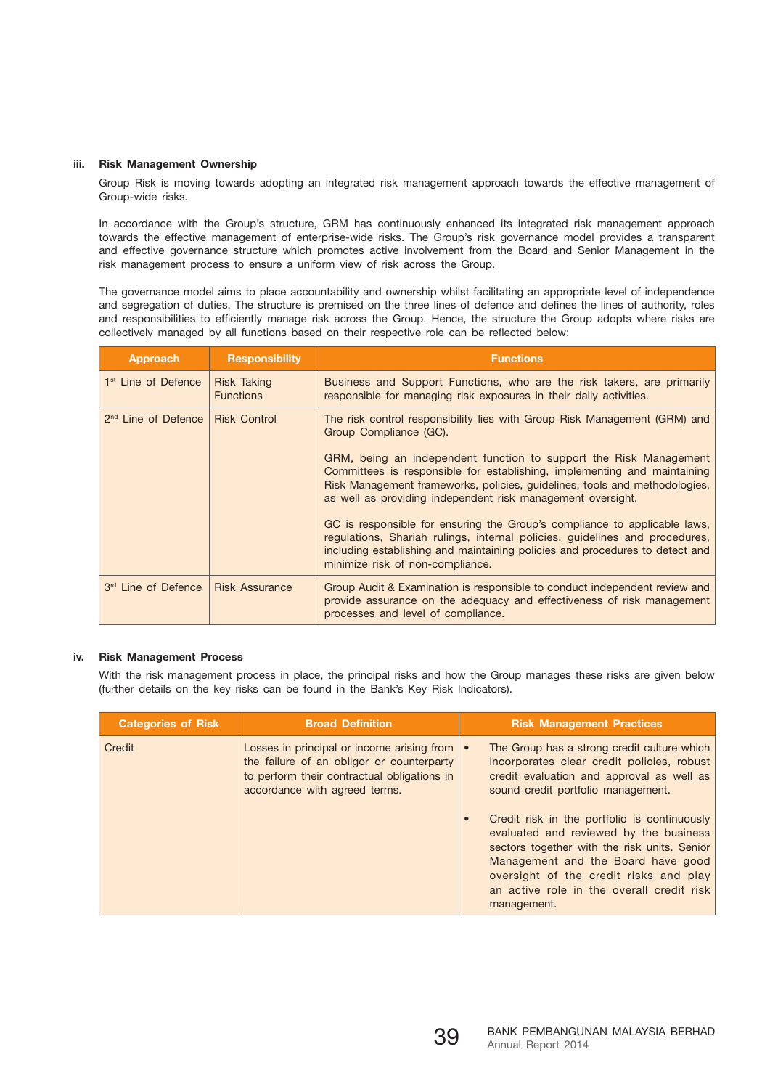## **iii. Risk Management Ownership**

Group Risk is moving towards adopting an integrated risk management approach towards the effective management of Group-wide risks.

In accordance with the Group's structure, GRM has continuously enhanced its integrated risk management approach towards the effective management of enterprise-wide risks. The Group's risk governance model provides a transparent and effective governance structure which promotes active involvement from the Board and Senior Management in the risk management process to ensure a uniform view of risk across the Group.

The governance model aims to place accountability and ownership whilst facilitating an appropriate level of independence and segregation of duties. The structure is premised on the three lines of defence and defines the lines of authority, roles and responsibilities to efficiently manage risk across the Group. Hence, the structure the Group adopts where risks are collectively managed by all functions based on their respective role can be reflected below:

| Approach                                       | <b>Responsibility</b>                  | <b>Functions</b>                                                                                                                                                                                                                                                                                                                                                                                                                                                                                                                                                                                                                              |
|------------------------------------------------|----------------------------------------|-----------------------------------------------------------------------------------------------------------------------------------------------------------------------------------------------------------------------------------------------------------------------------------------------------------------------------------------------------------------------------------------------------------------------------------------------------------------------------------------------------------------------------------------------------------------------------------------------------------------------------------------------|
| 1 <sup>st</sup> Line of Defence                | <b>Risk Taking</b><br><b>Functions</b> | Business and Support Functions, who are the risk takers, are primarily<br>responsible for managing risk exposures in their daily activities.                                                                                                                                                                                                                                                                                                                                                                                                                                                                                                  |
| 2 <sup>nd</sup> Line of Defence   Risk Control |                                        | The risk control responsibility lies with Group Risk Management (GRM) and<br>Group Compliance (GC).<br>GRM, being an independent function to support the Risk Management<br>Committees is responsible for establishing, implementing and maintaining<br>Risk Management frameworks, policies, guidelines, tools and methodologies,<br>as well as providing independent risk management oversight.<br>GC is responsible for ensuring the Group's compliance to applicable laws,<br>regulations, Shariah rulings, internal policies, guidelines and procedures,<br>including establishing and maintaining policies and procedures to detect and |
|                                                |                                        | minimize risk of non-compliance.                                                                                                                                                                                                                                                                                                                                                                                                                                                                                                                                                                                                              |
| 3rd Line of Defence                            | <b>Risk Assurance</b>                  | Group Audit & Examination is responsible to conduct independent review and<br>provide assurance on the adequacy and effectiveness of risk management<br>processes and level of compliance.                                                                                                                                                                                                                                                                                                                                                                                                                                                    |

# **iv. Risk Management Process**

With the risk management process in place, the principal risks and how the Group manages these risks are given below (further details on the key risks can be found in the Bank's Key Risk Indicators).

| <b>Categories of Risk</b> | <b>Broad Definition</b>                                                                                                                                                 | <b>Risk Management Practices</b>                                                                                                                                                                                                                                                   |
|---------------------------|-------------------------------------------------------------------------------------------------------------------------------------------------------------------------|------------------------------------------------------------------------------------------------------------------------------------------------------------------------------------------------------------------------------------------------------------------------------------|
| Credit                    | Losses in principal or income arising from<br>the failure of an obligor or counterparty<br>to perform their contractual obligations in<br>accordance with agreed terms. | The Group has a strong credit culture which<br>incorporates clear credit policies, robust<br>credit evaluation and approval as well as<br>sound credit portfolio management.                                                                                                       |
|                           |                                                                                                                                                                         | Credit risk in the portfolio is continuously<br>evaluated and reviewed by the business<br>sectors together with the risk units. Senior<br>Management and the Board have good<br>oversight of the credit risks and play<br>an active role in the overall credit risk<br>management. |

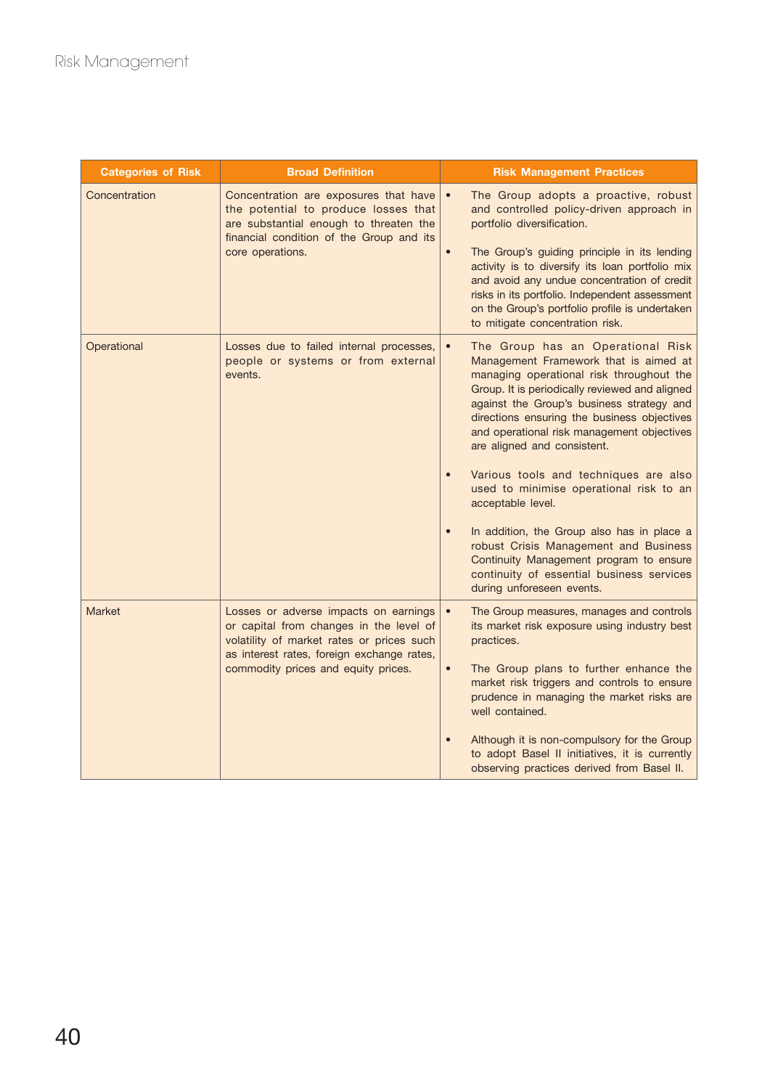| <b>Categories of Risk</b> | <b>Broad Definition</b>                                                                                                                                                                 | <b>Risk Management Practices</b>                                                                                                                                                                                                                                                                                                                                                                                                                                                                                                                                                                                                                                                                                                                 |
|---------------------------|-----------------------------------------------------------------------------------------------------------------------------------------------------------------------------------------|--------------------------------------------------------------------------------------------------------------------------------------------------------------------------------------------------------------------------------------------------------------------------------------------------------------------------------------------------------------------------------------------------------------------------------------------------------------------------------------------------------------------------------------------------------------------------------------------------------------------------------------------------------------------------------------------------------------------------------------------------|
| Concentration             | Concentration are exposures that have<br>the potential to produce losses that<br>are substantial enough to threaten the<br>financial condition of the Group and its<br>core operations. | The Group adopts a proactive, robust<br>and controlled policy-driven approach in<br>portfolio diversification.<br>The Group's guiding principle in its lending<br>$\bullet$<br>activity is to diversify its loan portfolio mix<br>and avoid any undue concentration of credit<br>risks in its portfolio. Independent assessment<br>on the Group's portfolio profile is undertaken                                                                                                                                                                                                                                                                                                                                                                |
| Operational               | Losses due to failed internal processes,<br>people or systems or from external<br>events.                                                                                               | to mitigate concentration risk.<br>The Group has an Operational Risk<br>$\bullet$<br>Management Framework that is aimed at<br>managing operational risk throughout the<br>Group. It is periodically reviewed and aligned<br>against the Group's business strategy and<br>directions ensuring the business objectives<br>and operational risk management objectives<br>are aligned and consistent.<br>Various tools and techniques are also<br>$\bullet$<br>used to minimise operational risk to an<br>acceptable level.<br>In addition, the Group also has in place a<br>$\bullet$<br>robust Crisis Management and Business<br>Continuity Management program to ensure<br>continuity of essential business services<br>during unforeseen events. |
| <b>Market</b>             | Losses or adverse impacts on earnings<br>or capital from changes in the level of<br>volatility of market rates or prices such<br>as interest rates, foreign exchange rates,             | The Group measures, manages and controls<br>its market risk exposure using industry best<br>practices.                                                                                                                                                                                                                                                                                                                                                                                                                                                                                                                                                                                                                                           |
|                           | commodity prices and equity prices.                                                                                                                                                     | The Group plans to further enhance the<br>$\bullet$<br>market risk triggers and controls to ensure<br>prudence in managing the market risks are<br>well contained.                                                                                                                                                                                                                                                                                                                                                                                                                                                                                                                                                                               |
|                           |                                                                                                                                                                                         | Although it is non-compulsory for the Group<br>$\bullet$<br>to adopt Basel II initiatives, it is currently<br>observing practices derived from Basel II.                                                                                                                                                                                                                                                                                                                                                                                                                                                                                                                                                                                         |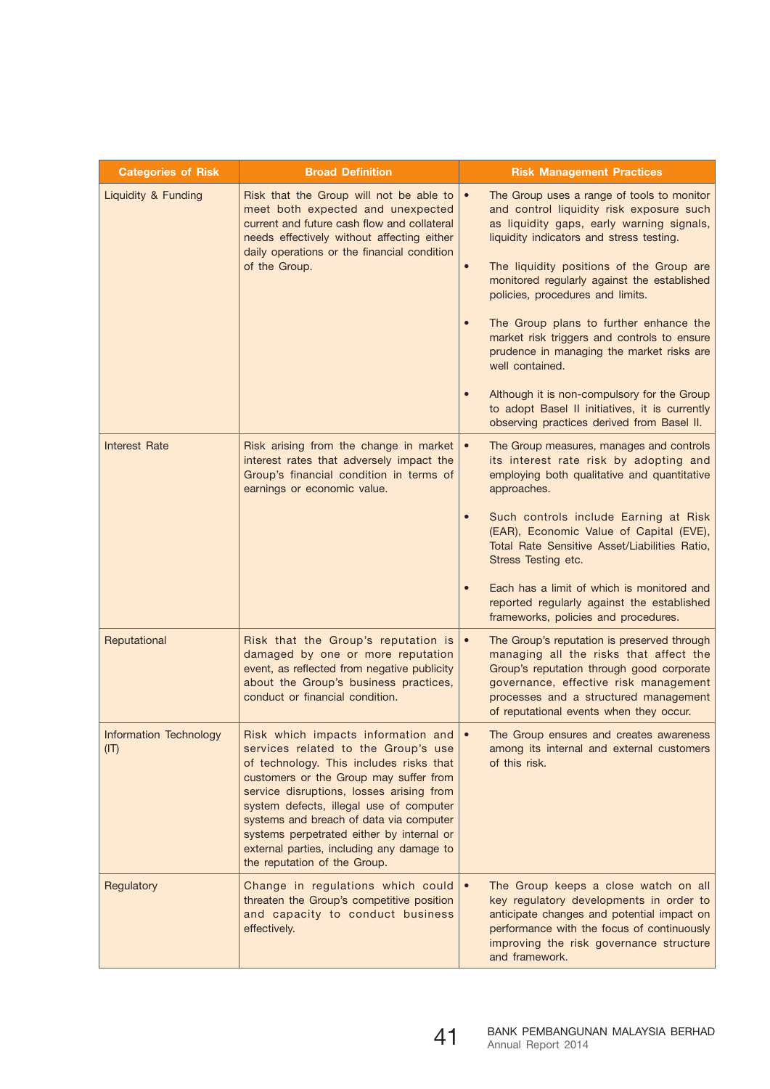| <b>Categories of Risk</b>      | <b>Broad Definition</b>                                                                                                                                                                                                                                                                                                                                                                                                    | <b>Risk Management Practices</b>                                                                                                                                                                                                                                |
|--------------------------------|----------------------------------------------------------------------------------------------------------------------------------------------------------------------------------------------------------------------------------------------------------------------------------------------------------------------------------------------------------------------------------------------------------------------------|-----------------------------------------------------------------------------------------------------------------------------------------------------------------------------------------------------------------------------------------------------------------|
| Liquidity & Funding            | Risk that the Group will not be able to<br>meet both expected and unexpected<br>current and future cash flow and collateral<br>needs effectively without affecting either<br>daily operations or the financial condition<br>of the Group.                                                                                                                                                                                  | The Group uses a range of tools to monitor<br>and control liquidity risk exposure such<br>as liquidity gaps, early warning signals,<br>liquidity indicators and stress testing.                                                                                 |
|                                |                                                                                                                                                                                                                                                                                                                                                                                                                            | The liquidity positions of the Group are<br>$\bullet$<br>monitored regularly against the established<br>policies, procedures and limits.                                                                                                                        |
|                                |                                                                                                                                                                                                                                                                                                                                                                                                                            | The Group plans to further enhance the<br>market risk triggers and controls to ensure<br>prudence in managing the market risks are<br>well contained.                                                                                                           |
|                                |                                                                                                                                                                                                                                                                                                                                                                                                                            | Although it is non-compulsory for the Group<br>to adopt Basel II initiatives, it is currently<br>observing practices derived from Basel II.                                                                                                                     |
| Interest Rate                  | Risk arising from the change in market<br>interest rates that adversely impact the<br>Group's financial condition in terms of<br>earnings or economic value.                                                                                                                                                                                                                                                               | The Group measures, manages and controls<br>its interest rate risk by adopting and<br>employing both qualitative and quantitative<br>approaches.                                                                                                                |
|                                |                                                                                                                                                                                                                                                                                                                                                                                                                            | Such controls include Earning at Risk<br>$\bullet$<br>(EAR), Economic Value of Capital (EVE),<br>Total Rate Sensitive Asset/Liabilities Ratio,<br>Stress Testing etc.                                                                                           |
|                                |                                                                                                                                                                                                                                                                                                                                                                                                                            | Each has a limit of which is monitored and<br>$\bullet$<br>reported regularly against the established<br>frameworks, policies and procedures.                                                                                                                   |
| Reputational                   | Risk that the Group's reputation is<br>damaged by one or more reputation<br>event, as reflected from negative publicity<br>about the Group's business practices,<br>conduct or financial condition.                                                                                                                                                                                                                        | The Group's reputation is preserved through<br>managing all the risks that affect the<br>Group's reputation through good corporate<br>governance, effective risk management<br>processes and a structured management<br>of reputational events when they occur. |
| Information Technology<br>(IT) | Risk which impacts information and<br>services related to the Group's use<br>of technology. This includes risks that<br>customers or the Group may suffer from<br>service disruptions, losses arising from<br>system defects, illegal use of computer<br>systems and breach of data via computer<br>systems perpetrated either by internal or<br>external parties, including any damage to<br>the reputation of the Group. | The Group ensures and creates awareness<br>among its internal and external customers<br>of this risk.                                                                                                                                                           |
| Regulatory                     | Change in regulations which could<br>threaten the Group's competitive position<br>and capacity to conduct business<br>effectively.                                                                                                                                                                                                                                                                                         | The Group keeps a close watch on all<br>key regulatory developments in order to<br>anticipate changes and potential impact on<br>performance with the focus of continuously<br>improving the risk governance structure<br>and framework.                        |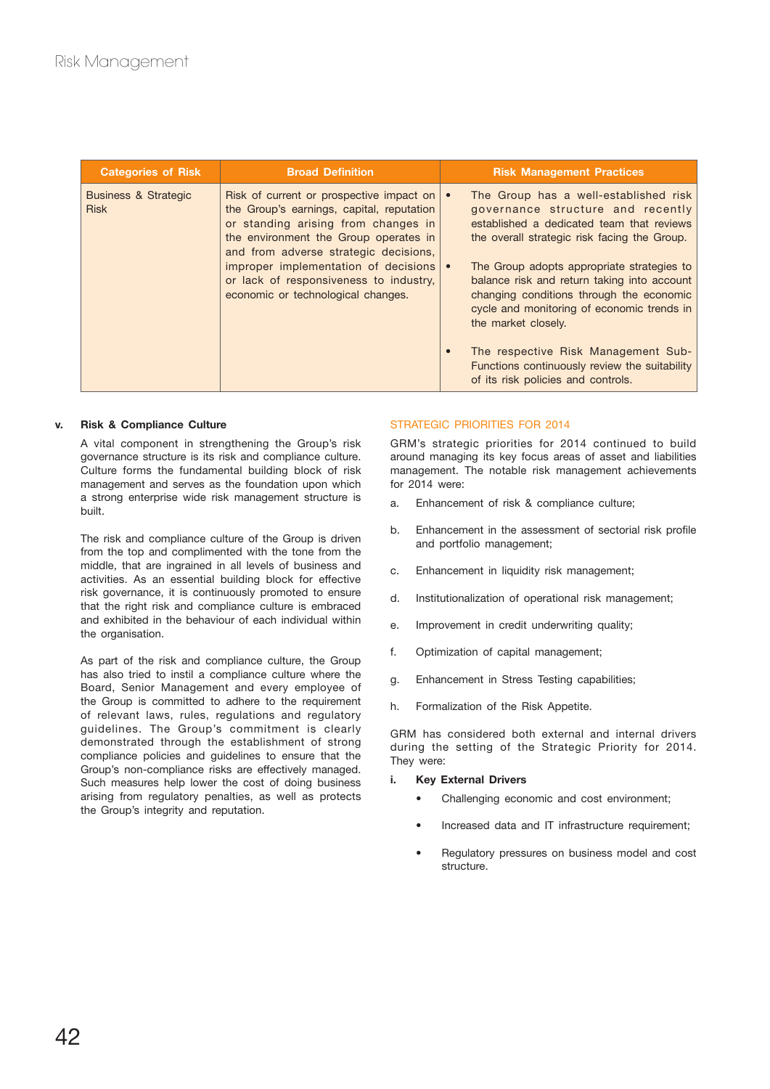| <b>Categories of Risk</b>                                                                                                                                                                                       | <b>Broad Definition</b>                                                                                                                                               |                                                                                                                                                                                                            | <b>Risk Management Practices</b>                                                                                                                                        |
|-----------------------------------------------------------------------------------------------------------------------------------------------------------------------------------------------------------------|-----------------------------------------------------------------------------------------------------------------------------------------------------------------------|------------------------------------------------------------------------------------------------------------------------------------------------------------------------------------------------------------|-------------------------------------------------------------------------------------------------------------------------------------------------------------------------|
| <b>Business &amp; Strategic</b><br><b>Risk</b><br>and from adverse strategic decisions,<br>improper implementation of decisions<br>or lack of responsiveness to industry,<br>economic or technological changes. | Risk of current or prospective impact on<br>the Group's earnings, capital, reputation<br>or standing arising from changes in<br>the environment the Group operates in | $\bullet$                                                                                                                                                                                                  | The Group has a well-established risk<br>governance structure and recently<br>established a dedicated team that reviews<br>the overall strategic risk facing the Group. |
|                                                                                                                                                                                                                 |                                                                                                                                                                       | The Group adopts appropriate strategies to<br>balance risk and return taking into account<br>changing conditions through the economic<br>cycle and monitoring of economic trends in<br>the market closely. |                                                                                                                                                                         |
|                                                                                                                                                                                                                 |                                                                                                                                                                       | $\bullet$                                                                                                                                                                                                  | The respective Risk Management Sub-<br>Functions continuously review the suitability<br>of its risk policies and controls.                                              |

## **v. Risk & Compliance Culture**

A vital component in strengthening the Group's risk governance structure is its risk and compliance culture. Culture forms the fundamental building block of risk management and serves as the foundation upon which a strong enterprise wide risk management structure is built.

The risk and compliance culture of the Group is driven from the top and complimented with the tone from the middle, that are ingrained in all levels of business and activities. As an essential building block for effective risk governance, it is continuously promoted to ensure that the right risk and compliance culture is embraced and exhibited in the behaviour of each individual within the organisation.

As part of the risk and compliance culture, the Group has also tried to instil a compliance culture where the Board, Senior Management and every employee of the Group is committed to adhere to the requirement of relevant laws, rules, regulations and regulatory guidelines. The Group's commitment is clearly demonstrated through the establishment of strong compliance policies and guidelines to ensure that the Group's non-compliance risks are effectively managed. Such measures help lower the cost of doing business arising from regulatory penalties, as well as protects the Group's integrity and reputation.

## STRATEGIC PRIORITIES FOR 2014

GRM's strategic priorities for 2014 continued to build around managing its key focus areas of asset and liabilities management. The notable risk management achievements for 2014 were:

- a. Enhancement of risk & compliance culture;
- b. Enhancement in the assessment of sectorial risk profile and portfolio management;
- c. Enhancement in liquidity risk management;
- d. Institutionalization of operational risk management;
- e. Improvement in credit underwriting quality;
- f. Optimization of capital management;
- g. Enhancement in Stress Testing capabilities;
- h. Formalization of the Risk Appetite.

GRM has considered both external and internal drivers during the setting of the Strategic Priority for 2014. They were:

#### **i. Key External Drivers**

- Challenging economic and cost environment;
- Increased data and IT infrastructure requirement;
- Regulatory pressures on business model and cost structure.